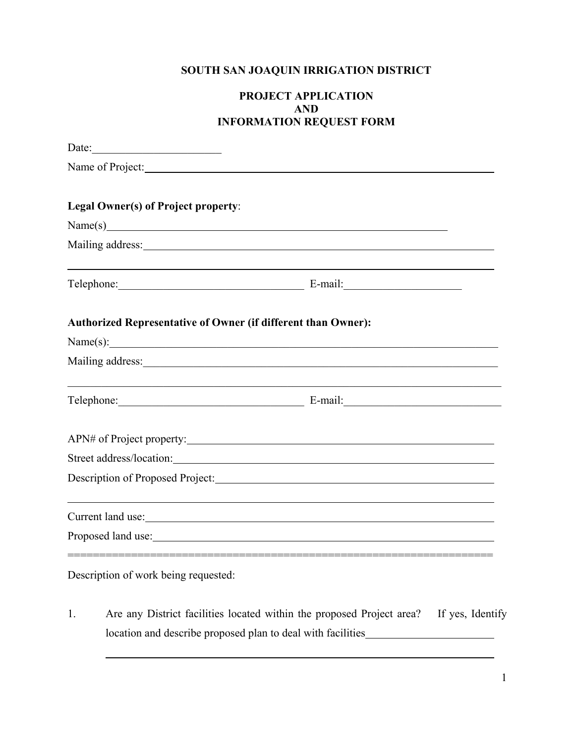# **SOUTH SAN JOAQUIN IRRIGATION DISTRICT**

## **PROJECT APPLICATION AND INFORMATION REQUEST FORM**

| Date:                                                         |                                                                                                                                                                                                                                |
|---------------------------------------------------------------|--------------------------------------------------------------------------------------------------------------------------------------------------------------------------------------------------------------------------------|
| Name of Project:                                              |                                                                                                                                                                                                                                |
| Legal Owner(s) of Project property:                           |                                                                                                                                                                                                                                |
|                                                               | Name(s)                                                                                                                                                                                                                        |
|                                                               | Mailing address: National Communication of the contract of the contract of the contract of the contract of the contract of the contract of the contract of the contract of the contract of the contract of the contract of the |
|                                                               | Telephone: E-mail: E-mail:                                                                                                                                                                                                     |
| Authorized Representative of Owner (if different than Owner): |                                                                                                                                                                                                                                |
|                                                               | Name(s):                                                                                                                                                                                                                       |
|                                                               | Mailing address: National Communication of the Communication of the Communication of the Communication of the Communication of the Communication of the Communication of the Communication of the Communication of the Communi |
|                                                               | Telephone: E-mail: E-mail:                                                                                                                                                                                                     |
|                                                               | APN# of Project property:                                                                                                                                                                                                      |
|                                                               | Street address/location:                                                                                                                                                                                                       |
|                                                               | Description of Proposed Project:                                                                                                                                                                                               |
|                                                               | Current land use:                                                                                                                                                                                                              |
|                                                               |                                                                                                                                                                                                                                |
| Description of work being requested:                          |                                                                                                                                                                                                                                |

1. Are any District facilities located within the proposed Project area? If yes, Identify location and describe proposed plan to deal with facilities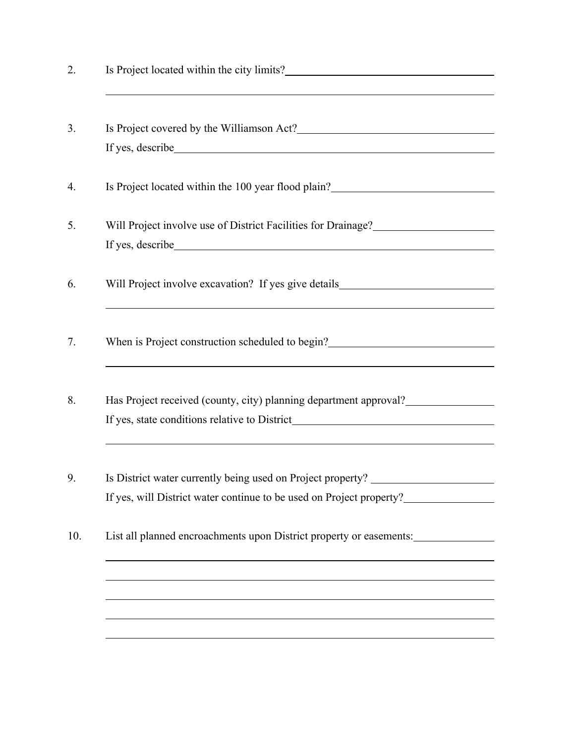| Is Project covered by the Williamson Act?                                                                                                                                                                                            |
|--------------------------------------------------------------------------------------------------------------------------------------------------------------------------------------------------------------------------------------|
|                                                                                                                                                                                                                                      |
| Is Project located within the 100 year flood plain?<br><u>Letting</u> the mass of the set of the set of the set of the set of the set of the set of the set of the set of the set of the set of the set of the set of the set of the |
| Will Project involve use of District Facilities for Drainage?___________________                                                                                                                                                     |
|                                                                                                                                                                                                                                      |
| Will Project involve excavation? If yes give details____________________________                                                                                                                                                     |
| When is Project construction scheduled to begin?<br><u>Letting</u> 2021                                                                                                                                                              |
| Has Project received (county, city) planning department approval?                                                                                                                                                                    |
|                                                                                                                                                                                                                                      |
| Is District water currently being used on Project property?                                                                                                                                                                          |
| If yes, will District water continue to be used on Project property?                                                                                                                                                                 |
| List all planned encroachments upon District property or easements:                                                                                                                                                                  |
|                                                                                                                                                                                                                                      |
|                                                                                                                                                                                                                                      |
|                                                                                                                                                                                                                                      |
|                                                                                                                                                                                                                                      |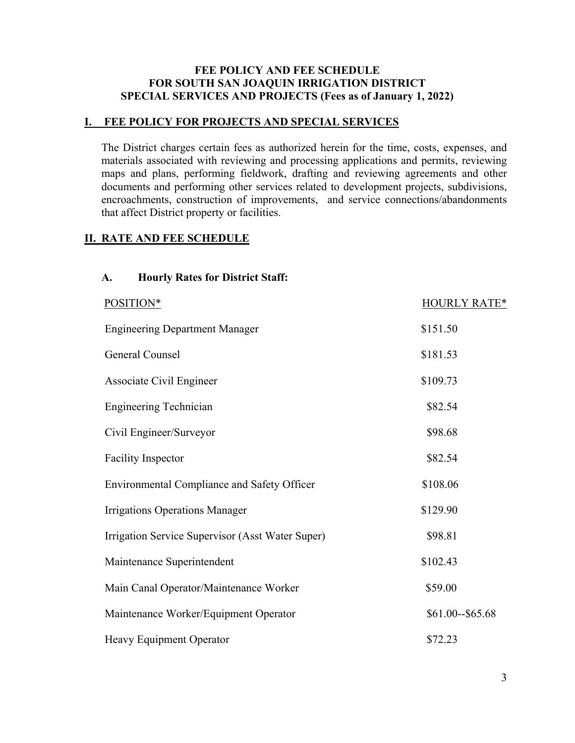### **FEE POLICY AND FEE SCHEDULE FOR SOUTH SAN JOAQUIN IRRIGATION DISTRICT SPECIAL SERVICES AND PROJECTS (Fees as of January 1, 2022)**

#### **I. FEE POLICY FOR PROJECTS AND SPECIAL SERVICES**

The District charges certain fees as authorized herein for the time, costs, expenses, and materials associated with reviewing and processing applications and permits, reviewing maps and plans, performing fieldwork, drafting and reviewing agreements and other documents and performing other services related to development projects, subdivisions, encroachments, construction of improvements, and service connections/abandonments that affect District property or facilities.

### **II. RATE AND FEE SCHEDULE**

#### **A. Hourly Rates for District Staff:**

| POSITION*                                          | <b>HOURLY RATE*</b> |
|----------------------------------------------------|---------------------|
| <b>Engineering Department Manager</b>              | \$151.50            |
| General Counsel                                    | \$181.53            |
| Associate Civil Engineer                           | \$109.73            |
| <b>Engineering Technician</b>                      | \$82.54             |
| Civil Engineer/Surveyor                            | \$98.68             |
| <b>Facility Inspector</b>                          | \$82.54             |
| <b>Environmental Compliance and Safety Officer</b> | \$108.06            |
| <b>Irrigations Operations Manager</b>              | \$129.90            |
| Irrigation Service Supervisor (Asst Water Super)   | \$98.81             |
| Maintenance Superintendent                         | \$102.43            |
| Main Canal Operator/Maintenance Worker             | \$59.00             |
| Maintenance Worker/Equipment Operator              | \$61.00--\$65.68    |
| Heavy Equipment Operator                           | \$72.23             |
|                                                    |                     |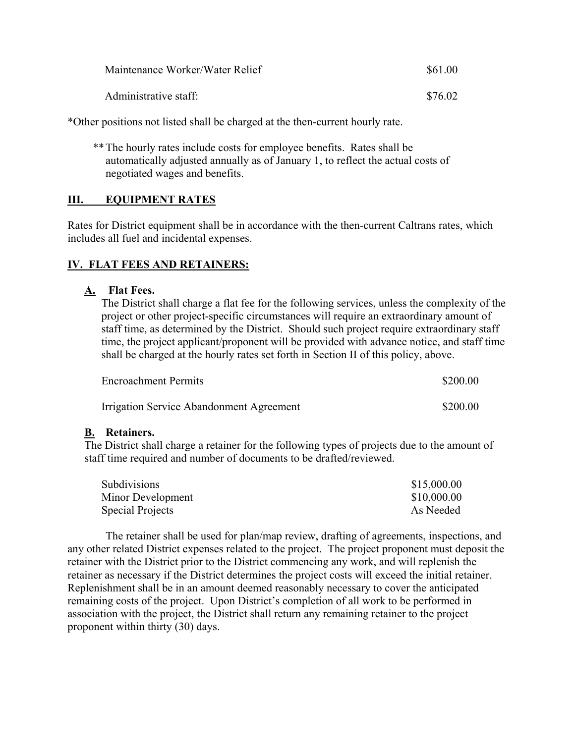| Maintenance Worker/Water Relief | \$61.00 |
|---------------------------------|---------|
| Administrative staff:           | \$76.02 |

\*Other positions not listed shall be charged at the then-current hourly rate.

 \*\* The hourly rates include costs for employee benefits. Rates shall be automatically adjusted annually as of January 1, to reflect the actual costs of negotiated wages and benefits.

#### **III. EQUIPMENT RATES**

Rates for District equipment shall be in accordance with the then-current Caltrans rates, which includes all fuel and incidental expenses.

#### **IV. FLAT FEES AND RETAINERS:**

#### **A. Flat Fees.**

The District shall charge a flat fee for the following services, unless the complexity of the project or other project-specific circumstances will require an extraordinary amount of staff time, as determined by the District. Should such project require extraordinary staff time, the project applicant/proponent will be provided with advance notice, and staff time shall be charged at the hourly rates set forth in Section II of this policy, above.

| <b>Encroachment Permits</b>              | \$200.00 |
|------------------------------------------|----------|
| Irrigation Service Abandonment Agreement | \$200.00 |

#### **B. Retainers.**

 The District shall charge a retainer for the following types of projects due to the amount of staff time required and number of documents to be drafted/reviewed.

| <b>Subdivisions</b> | \$15,000.00 |
|---------------------|-------------|
| Minor Development   | \$10,000.00 |
| Special Projects    | As Needed   |

 The retainer shall be used for plan/map review, drafting of agreements, inspections, and any other related District expenses related to the project. The project proponent must deposit the retainer with the District prior to the District commencing any work, and will replenish the retainer as necessary if the District determines the project costs will exceed the initial retainer. Replenishment shall be in an amount deemed reasonably necessary to cover the anticipated remaining costs of the project. Upon District's completion of all work to be performed in association with the project, the District shall return any remaining retainer to the project proponent within thirty (30) days.